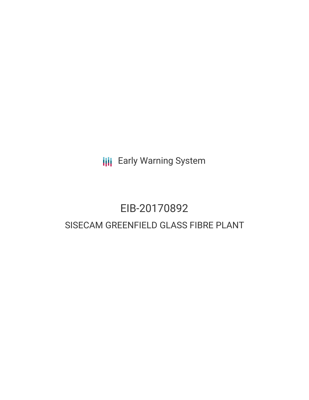**III** Early Warning System

# EIB-20170892 SISECAM GREENFIELD GLASS FIBRE PLANT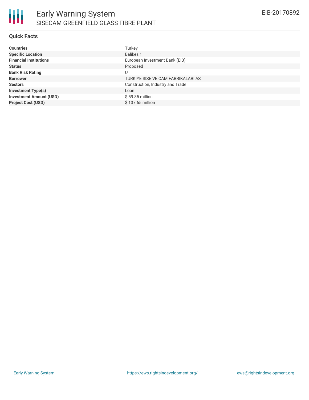## **Quick Facts**

| <b>Countries</b>               | Turkey                             |
|--------------------------------|------------------------------------|
| <b>Specific Location</b>       | <b>Balikesir</b>                   |
| <b>Financial Institutions</b>  | European Investment Bank (EIB)     |
| <b>Status</b>                  | Proposed                           |
| <b>Bank Risk Rating</b>        | U                                  |
| <b>Borrower</b>                | TURKIYE SISE VE CAM FABRIKALARI AS |
| <b>Sectors</b>                 | Construction, Industry and Trade   |
| <b>Investment Type(s)</b>      | Loan                               |
| <b>Investment Amount (USD)</b> | $$59.85$ million                   |
| <b>Project Cost (USD)</b>      | \$137.65 million                   |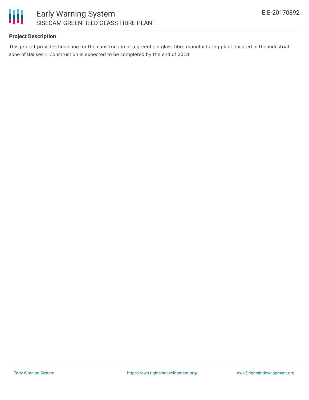

## **Project Description**

This project provides financing for the construction of a greenfield glass fibre manufacturing plant, located in the industrial zone of Balikesir. Construction is expected to be completed by the end of 2018.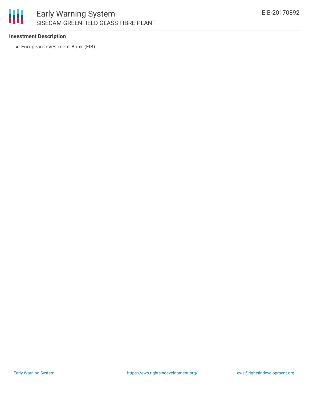

## **Investment Description**

European Investment Bank (EIB)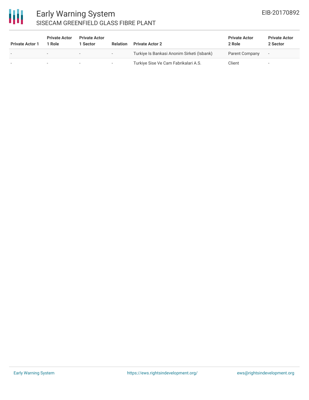

# Early Warning System SISECAM GREENFIELD GLASS FIBRE PLANT

| <b>Private Actor 1</b> | <b>Private Actor</b><br>1 Role | <b>Private Actor</b><br>1 Sector | <b>Relation</b>          | <b>Private Actor 2</b>                     | <b>Private Actor</b><br>2 Role | <b>Private Actor</b><br>2 Sector |
|------------------------|--------------------------------|----------------------------------|--------------------------|--------------------------------------------|--------------------------------|----------------------------------|
|                        | $\sim$                         |                                  | $\overline{\phantom{0}}$ | Turkiye Is Bankasi Anonim Sirketi (Isbank) | Parent Company                 | $\overline{\phantom{a}}$         |
|                        |                                |                                  | $\overline{\phantom{a}}$ | Turkiye Sise Ve Cam Fabrikalari A.S.       | Client                         | $\overline{\phantom{a}}$         |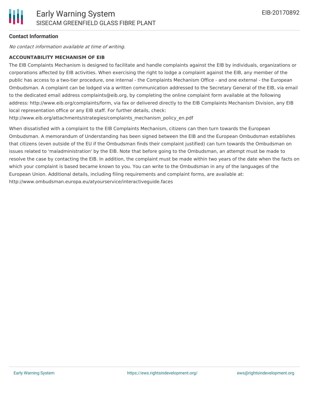## **Contact Information**

No contact information available at time of writing.

## **ACCOUNTABILITY MECHANISM OF EIB**

The EIB Complaints Mechanism is designed to facilitate and handle complaints against the EIB by individuals, organizations or corporations affected by EIB activities. When exercising the right to lodge a complaint against the EIB, any member of the public has access to a two-tier procedure, one internal - the Complaints Mechanism Office - and one external - the European Ombudsman. A complaint can be lodged via a written communication addressed to the Secretary General of the EIB, via email to the dedicated email address complaints@eib.org, by completing the online complaint form available at the following address: http://www.eib.org/complaints/form, via fax or delivered directly to the EIB Complaints Mechanism Division, any EIB local representation office or any EIB staff. For further details, check:

http://www.eib.org/attachments/strategies/complaints\_mechanism\_policy\_en.pdf

When dissatisfied with a complaint to the EIB Complaints Mechanism, citizens can then turn towards the European Ombudsman. A memorandum of Understanding has been signed between the EIB and the European Ombudsman establishes that citizens (even outside of the EU if the Ombudsman finds their complaint justified) can turn towards the Ombudsman on issues related to 'maladministration' by the EIB. Note that before going to the Ombudsman, an attempt must be made to resolve the case by contacting the EIB. In addition, the complaint must be made within two years of the date when the facts on which your complaint is based became known to you. You can write to the Ombudsman in any of the languages of the European Union. Additional details, including filing requirements and complaint forms, are available at: http://www.ombudsman.europa.eu/atyourservice/interactiveguide.faces